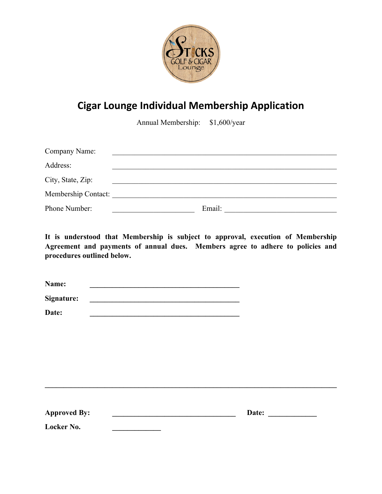

## **Cigar Lounge Individual Membership Application**

Annual Membership: \$1,600/year

| Company Name:       |        |
|---------------------|--------|
| Address:            |        |
| City, State, Zip:   |        |
| Membership Contact: |        |
| Phone Number:       | Email: |

**It is understood that Membership is subject to approval, execution of Membership Agreement and payments of annual dues. Members agree to adhere to policies and procedures outlined below.** 

| Name:      |  |  |  |
|------------|--|--|--|
| Signature: |  |  |  |
| Date:      |  |  |  |

| <b>Approved By:</b> | Date: |
|---------------------|-------|
| Locker No.          |       |

**\_\_\_\_\_\_\_\_\_\_\_\_\_\_\_\_\_\_\_\_\_\_\_\_\_\_\_\_\_\_\_\_\_\_\_\_\_\_\_\_\_\_\_\_\_\_\_\_\_\_\_\_\_\_\_\_\_\_\_\_\_\_\_\_\_\_\_\_\_\_\_\_\_\_\_\_\_\_**